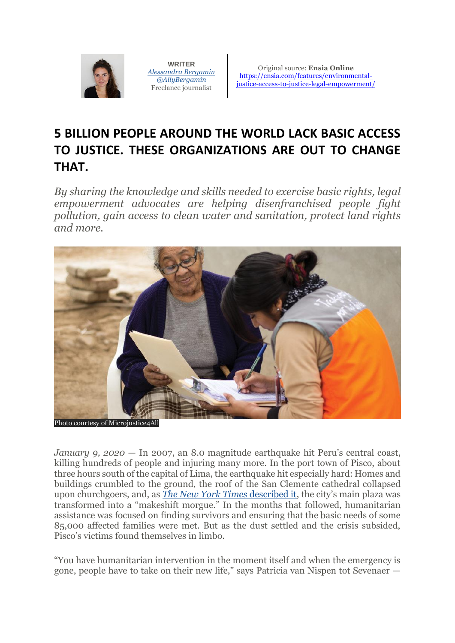

**WRITER** *[Alessandra Bergamin](https://ensia.com/about/people/alessandrabergamin/) [@AllyBergamin](http://www.twitter.com/AllyBergamin)* Freelance journalist

Original source: **Ensia Online** [https://ensia.com/features/environmental](https://ensia.com/features/environmental-justice-access-to-justice-legal-empowerment/)[justice-access-to-justice-legal-empowerment/](https://ensia.com/features/environmental-justice-access-to-justice-legal-empowerment/)

## **5 BILLION PEOPLE AROUND THE WORLD LACK BASIC ACCESS TO JUSTICE. THESE ORGANIZATIONS ARE OUT TO CHANGE THAT.**

*By sharing the knowledge and skills needed to exercise basic rights, legal empowerment advocates are helping disenfranchised people fight pollution, gain access to clean water and sanitation, protect land rights and more.*



hoto courtesy of Microjustice4All

*January 9, 2020 —* In 2007, an 8.0 magnitude earthquake hit Peru's central coast, killing hundreds of people and injuring many more. In the port town of Pisco, about three hours south of the capital of Lima, the earthquake hit especially hard: Homes and buildings crumbled to the ground, the roof of the San Clemente cathedral collapsed upon churchgoers, and, as *[The New York Times](https://www.nytimes.com/2007/08/17/world/americas/17cnd-peru.html?auth=login-email)* described it, the city's main plaza was transformed into a "makeshift morgue." In the months that followed, humanitarian assistance was focused on finding survivors and ensuring that the basic needs of some 85,000 affected families were met. But as the dust settled and the crisis subsided, Pisco's victims found themselves in limbo.

"You have humanitarian intervention in the moment itself and when the emergency is gone, people have to take on their new life," says Patricia van Nispen tot Sevenaer —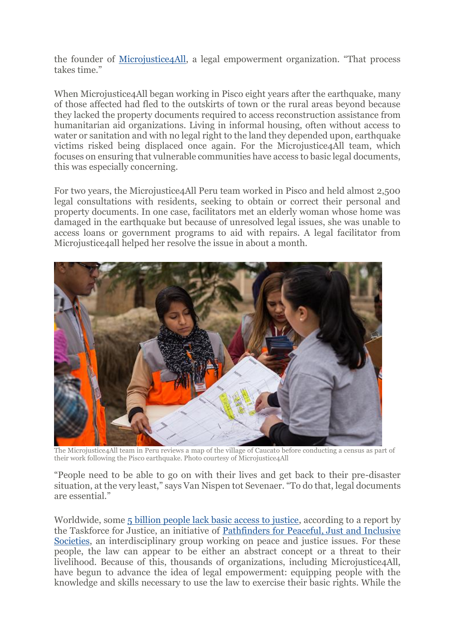the founder of [Microjustice4All,](http://microjustice4all.org/mj4all/) a legal empowerment organization. "That process takes time."

When Microjustice4All began working in Pisco eight years after the earthquake, many of those affected had fled to the outskirts of town or the rural areas beyond because they lacked the property documents required to access reconstruction assistance from humanitarian aid organizations. Living in informal housing, often without access to water or sanitation and with no legal right to the land they depended upon, earthquake victims risked being displaced once again. For the Microjustice4All team, which focuses on ensuring that vulnerable communities have access to basic legal documents, this was especially concerning.

For two years, the Microjustice4All Peru team worked in Pisco and held almost 2,500 legal consultations with residents, seeking to obtain or correct their personal and property documents. In one case, facilitators met an elderly woman whose home was damaged in the earthquake but because of unresolved legal issues, she was unable to access loans or government programs to aid with repairs. A legal facilitator from Microjustice4all helped her resolve the issue in about a month.



The Microjustice4All team in Peru reviews a map of the village of Caucato before conducting a census as part of their work following the Pisco earthquake. Photo courtesy of Microjustice4All

"People need to be able to go on with their lives and get back to their pre-disaster situation, at the very least," says Van Nispen tot Sevenaer. "To do that, legal documents are essential."

Worldwide, some [5 billion people lack basic access to justice,](https://www.theguardian.com/global-development/2019/apr/29/global-justice-system-fails-5-billion-people-study) according to a report by the Taskforce for Justice, an initiative of [Pathfinders for Peaceful,](https://www.sdg16.plus/) Just and Inclusive [Societies,](https://www.sdg16.plus/) an interdisciplinary group working on peace and justice issues. For these people, the law can appear to be either an abstract concept or a threat to their livelihood. Because of this, thousands of organizations, including Microjustice4All, have begun to advance the idea of legal empowerment: equipping people with the knowledge and skills necessary to use the law to exercise their basic rights. While the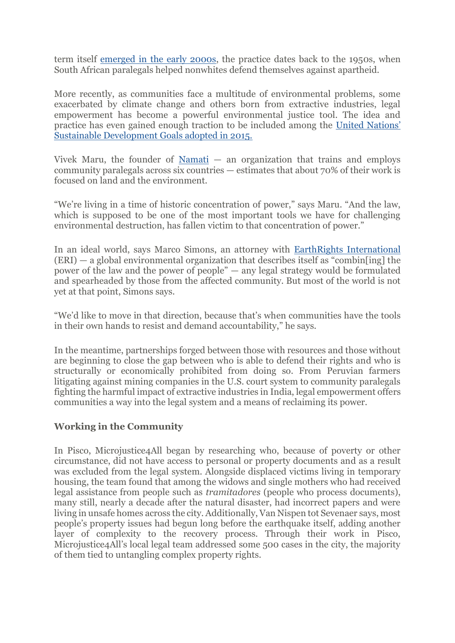term itself [emerged in the early 2000s,](https://worldjusticeproject.org/sites/default/files/the_past_present_and_possible_future_of_legal_empowerment_golub.pdf) the practice dates back to the 1950s, when South African paralegals helped nonwhites defend themselves against apartheid.

More recently, as communities face a multitude of environmental problems, some exacerbated by climate change and others born from extractive industries, legal empowerment has become a powerful environmental justice tool. The idea and practice has even gained enough traction to be included among the [United Nations'](https://www.undp.org/content/undp/en/home/sustainable-development-goals/goal-16-peace-justice-and-strong-institutions.html)  [Sustainable Development Goals adopted in 2015.](https://www.undp.org/content/undp/en/home/sustainable-development-goals/goal-16-peace-justice-and-strong-institutions.html)

Vivek Maru, the founder of [Namati](https://namati.org/)  $-$  an organization that trains and employs community paralegals across six countries — estimates that about 70% of their work is focused on land and the environment.

"We're living in a time of historic concentration of power," says Maru. "And the law, which is supposed to be one of the most important tools we have for challenging environmental destruction, has fallen victim to that concentration of power."

In an ideal world, says Marco Simons, an attorney with [EarthRights International](https://earthrights.org/about/) (ERI) — a global environmental organization that describes itself as "combin[ing] the power of the law and the power of people" — any legal strategy would be formulated and spearheaded by those from the affected community. But most of the world is not yet at that point, Simons says.

"We'd like to move in that direction, because that's when communities have the tools in their own hands to resist and demand accountability," he says.

In the meantime, partnerships forged between those with resources and those without are beginning to close the gap between who is able to defend their rights and who is structurally or economically prohibited from doing so. From Peruvian farmers litigating against mining companies in the U.S. court system to community paralegals fighting the harmful impact of extractive industries in India, legal empowerment offers communities a way into the legal system and a means of reclaiming its power.

## **Working in the Community**

In Pisco, Microjustice4All began by researching who, because of poverty or other circumstance, did not have access to personal or property documents and as a result was excluded from the legal system. Alongside displaced victims living in temporary housing, the team found that among the widows and single mothers who had received legal assistance from people such as *tramitadores* (people who process documents), many still, nearly a decade after the natural disaster, had incorrect papers and were living in unsafe homes across the city. Additionally, Van Nispen tot Sevenaer says, most people's property issues had begun long before the earthquake itself, adding another layer of complexity to the recovery process. Through their work in Pisco, Microjustice4All's local legal team addressed some 500 cases in the city, the majority of them tied to untangling complex property rights.